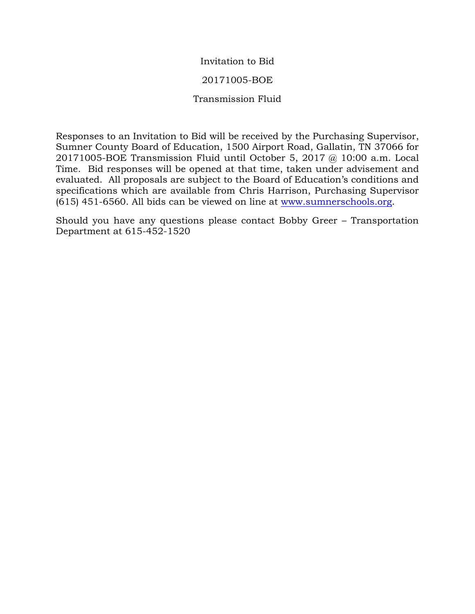## Invitation to Bid

## 20171005-BOE

## Transmission Fluid

Responses to an Invitation to Bid will be received by the Purchasing Supervisor, Sumner County Board of Education, 1500 Airport Road, Gallatin, TN 37066 for 20171005-BOE Transmission Fluid until October 5, 2017 @ 10:00 a.m. Local Time. Bid responses will be opened at that time, taken under advisement and evaluated. All proposals are subject to the Board of Education's conditions and specifications which are available from Chris Harrison, Purchasing Supervisor (615) 451-6560. All bids can be viewed on line at [www.sumnerschools.org.](http://www.sumnerschools.org/)

Should you have any questions please contact Bobby Greer – Transportation Department at 615-452-1520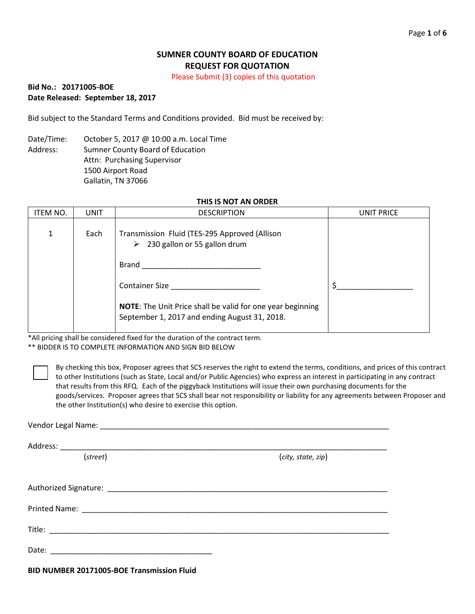## **SUMNER COUNTY BOARD OF EDUCATION REQUEST FOR QUOTATION**

Please Submit (3) copies of this quotation

### **Bid No.: 20171005-BOE Date Released: September 18, 2017**

Bid subject to the Standard Terms and Conditions provided. Bid must be received by:

Date/Time: October 5, 2017 @ 10:00 a.m. Local Time Address: Sumner County Board of Education Attn: Purchasing Supervisor 1500 Airport Road Gallatin, TN 37066

#### **THIS IS NOT AN ORDER**

| ITEM NO. | UNIT | <b>DESCRIPTION</b>                                                                                                 | UNIT PRICE |
|----------|------|--------------------------------------------------------------------------------------------------------------------|------------|
|          | Each | Transmission Fluid (TES-295 Approved (Allison<br>$\geq$ 230 gallon or 55 gallon drum                               |            |
|          |      | Brand                                                                                                              |            |
|          |      | <b>Container Size</b>                                                                                              |            |
|          |      | <b>NOTE:</b> The Unit Price shall be valid for one year beginning<br>September 1, 2017 and ending August 31, 2018. |            |

\*All pricing shall be considered fixed for the duration of the contract term.

\*\* BIDDER IS TO COMPLETE INFORMATION AND SIGN BID BELOW

By checking this box, Proposer agrees that SCS reserves the right to extend the terms, conditions, and prices of this contract to other Institutions (such as State, Local and/or Public Agencies) who express an interest in participating in any contract that results from this RFQ. Each of the piggyback Institutions will issue their own purchasing documents for the goods/services. Proposer agrees that SCS shall bear not responsibility or liability for any agreements between Proposer and the other Institution(s) who desire to exercise this option.

| (street) | (city, state, zip) |  |  |  |
|----------|--------------------|--|--|--|
|          |                    |  |  |  |
|          |                    |  |  |  |
|          |                    |  |  |  |
|          |                    |  |  |  |
| Date:    |                    |  |  |  |

**BID NUMBER 20171005-BOE Transmission Fluid**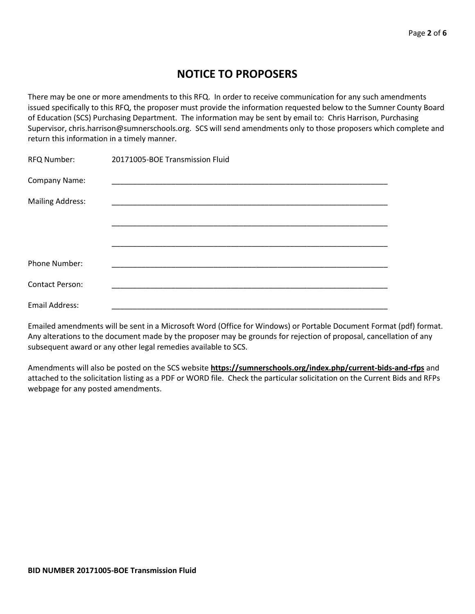# **NOTICE TO PROPOSERS**

There may be one or more amendments to this RFQ. In order to receive communication for any such amendments issued specifically to this RFQ, the proposer must provide the information requested below to the Sumner County Board of Education (SCS) Purchasing Department. The information may be sent by email to: Chris Harrison, Purchasing Supervisor, chris.harrison@sumnerschools.org. SCS will send amendments only to those proposers which complete and return this information in a timely manner.

| RFQ Number:             | 20171005-BOE Transmission Fluid |
|-------------------------|---------------------------------|
| Company Name:           |                                 |
| <b>Mailing Address:</b> |                                 |
|                         |                                 |
|                         |                                 |
| <b>Phone Number:</b>    |                                 |
| Contact Person:         |                                 |
| Email Address:          |                                 |
|                         |                                 |

Emailed amendments will be sent in a Microsoft Word (Office for Windows) or Portable Document Format (pdf) format. Any alterations to the document made by the proposer may be grounds for rejection of proposal, cancellation of any subsequent award or any other legal remedies available to SCS.

Amendments will also be posted on the SCS website **https://sumnerschools.org/index.php/current-bids-and-rfps** and attached to the solicitation listing as a PDF or WORD file. Check the particular solicitation on the Current Bids and RFPs webpage for any posted amendments.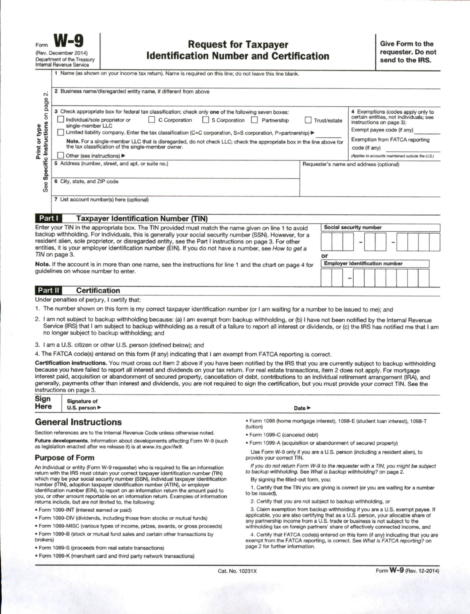|                               | 1 Name (as shown on your income tax return). Name is required on this line; do not leave this line blank.                                                                                                                                                                                                                        |                                                   |                                                                                                         |  |  |  |
|-------------------------------|----------------------------------------------------------------------------------------------------------------------------------------------------------------------------------------------------------------------------------------------------------------------------------------------------------------------------------|---------------------------------------------------|---------------------------------------------------------------------------------------------------------|--|--|--|
| $\sim$<br>page<br>5           | 2 Business name/disregarded entity name, if different from above                                                                                                                                                                                                                                                                 |                                                   |                                                                                                         |  |  |  |
|                               | 3 Check appropriate box for federal tax classification; check only one of the following seven boxes:<br>Individual/sole proprietor or<br>C Corporation<br>S Corporation<br>Partnership<br>single-member LLC                                                                                                                      | Trust/estate                                      | 4 Exemptions (codes apply only to<br>certain entities, not individuals; see<br>instructions on page 3): |  |  |  |
|                               | Limited liability company. Enter the tax classification (C=C corporation, S=S corporation, P=partnership) ▶                                                                                                                                                                                                                      | Exempt payee code (if any)                        |                                                                                                         |  |  |  |
| Instructions<br>Print or type | Note. For a single-member LLC that is disregarded, do not check LLC; check the appropriate box in the line above for<br>the tax classification of the single-member owner.                                                                                                                                                       | Exemption from FATCA reporting<br>code (if any)   |                                                                                                         |  |  |  |
|                               | Other (see instructions) ▶                                                                                                                                                                                                                                                                                                       | (Applies to accounts maintained outside the U.S.) |                                                                                                         |  |  |  |
| Specific<br>See               | 5 Address (number, street, and apt. or suite no.)                                                                                                                                                                                                                                                                                |                                                   | Requester's name and address (optional)                                                                 |  |  |  |
|                               | 6 City, state, and ZIP code                                                                                                                                                                                                                                                                                                      |                                                   |                                                                                                         |  |  |  |
|                               | 7 List account number(s) here (optional)                                                                                                                                                                                                                                                                                         |                                                   |                                                                                                         |  |  |  |
| Part I                        | <b>Taxpayer Identification Number (TIN)</b>                                                                                                                                                                                                                                                                                      |                                                   |                                                                                                         |  |  |  |
|                               | Enter your TIN in the appropriate box. The TIN provided must match the name given on line 1 to avoid                                                                                                                                                                                                                             | Social security number                            |                                                                                                         |  |  |  |
|                               | backup withholding. For individuals, this is generally your social security number (SSN). However, for a<br>resident alien, sole proprietor, or disregarded entity, see the Part I instructions on page 3. For other<br>entities, it is your employer identification number (EIN). If you do not have a number, see How to get a |                                                   |                                                                                                         |  |  |  |
|                               | TIN on page 3.                                                                                                                                                                                                                                                                                                                   | or                                                |                                                                                                         |  |  |  |
|                               | Note, If the account is in more than one name, see the instructions for line 1 and the chart on page 4 for                                                                                                                                                                                                                       |                                                   | <b>Employer identification number</b>                                                                   |  |  |  |

**Certification** Part II

Under penalties of perjury, I certify that:

quidelines on whose number to enter.

- 1. The number shown on this form is my correct taxpayer identification number (or I am waiting for a number to be issued to me); and
- 2. I am not subject to backup withholding because: (a) I am exempt from backup withholding, or (b) I have not been notified by the Internal Revenue Service (IRS) that I am subject to backup withholding as a result of a failure to report all interest or dividends, or (c) the IRS has notified me that I am no longer subject to backup withholding; and

3. I am a U.S. citizen or other U.S. person (defined below); and

4. The FATCA code(s) entered on this form (if any) indicating that I am exempt from FATCA reporting is correct.

Certification instructions. You must cross out item 2 above if you have been notified by the IRS that you are currently subject to backup withholding because you have failed to report all interest and dividends on your tax return. For real estate transactions, item 2 does not apply. For mortgage interest paid, acquisition or abandonment of secured property, cancellation of debt, contributions to an individual retirement arrangement (IRA), and generally, payments other than interest and dividends, you are not required to sign the certification, but you must provide your correct TIN. See the instructions on page 3.

| Sign | <b>Signature of</b>               |  |  |
|------|-----------------------------------|--|--|
| Here | U.S. person $\blacktriangleright$ |  |  |

#### **General Instructions**

Section references are to the Internal Revenue Code unless otherwise noted. Future developments. Information about developments affecting Form W-9 (such as legislation enacted after we release it) is at www.irs.gov/fw9.

#### **Purpose of Form**

An individual or entity (Form W-9 requester) who is required to file an information return with the IRS must obtain your correct taxpayer identification number (TIN) which may be your social security number (SSN), individual taxpayer identification number (ITIN), adoption taxpayer identification number (ATIN), or employer identification number (EIN), to report on an information return the amount paid to you, or other amount reportable on an information return. Examples of information returns include, but are not limited to, the following:

- · Form 1099-INT (interest earned or paid)
- . Form 1099-DIV (dividends, including those from stocks or mutual funds)
- · Form 1099-MISC (various types of income, prizes, awards, or gross proceeds)
- . Form 1099-B (stock or mutual fund sales and certain other transactions by brokers)
- · Form 1099-S (proceeds from real estate transactions)
- · Form 1099-K (merchant card and third party network transactions)

Date **P** 

- · Form 1098 (home mortgage interest), 1098-E (student loan interest), 1098-T (tuition)
- · Form 1099-C (canceled debt)
- . Form 1099-A (acquisition or abandonment of secured property)

Use Form W-9 only if you are a U.S. person (including a resident alien), to provide your correct TIN.

If you do not return Form W-9 to the requester with a TIN, you might be subject to backup withholding. See What is backup withholding? on page 2. By signing the filled-out form, you:

1. Certify that the TIN you are giving is correct (or you are waiting for a number to be issued),

2. Certify that you are not subject to backup withholding, or

3. Claim exemption from backup withholding if you are a U.S. exempt payee. If applicable, you are also certifying that as a U.S. person, your allocable share of any partnership income from a U.S. trade or business is not subject to the withholding tax on foreign partners' share of effectively connected income, and

4. Certify that FATCA code(s) entered on this form (if any) indicating that you are exempt from the FATCA reporting, is correct. See What is FATCA reporting? on page 2 for further information.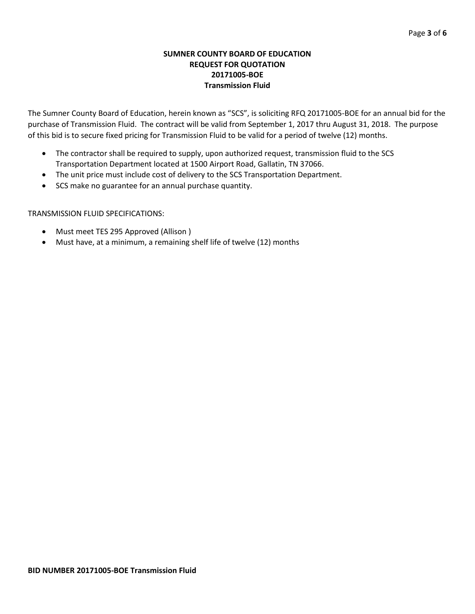## **SUMNER COUNTY BOARD OF EDUCATION REQUEST FOR QUOTATION 20171005-BOE Transmission Fluid**

The Sumner County Board of Education, herein known as "SCS", is soliciting RFQ 20171005-BOE for an annual bid for the purchase of Transmission Fluid. The contract will be valid from September 1, 2017 thru August 31, 2018. The purpose of this bid is to secure fixed pricing for Transmission Fluid to be valid for a period of twelve (12) months.

- The contractor shall be required to supply, upon authorized request, transmission fluid to the SCS Transportation Department located at 1500 Airport Road, Gallatin, TN 37066.
- The unit price must include cost of delivery to the SCS Transportation Department.
- SCS make no guarantee for an annual purchase quantity.

## TRANSMISSION FLUID SPECIFICATIONS:

- Must meet TES 295 Approved (Allison )
- Must have, at a minimum, a remaining shelf life of twelve (12) months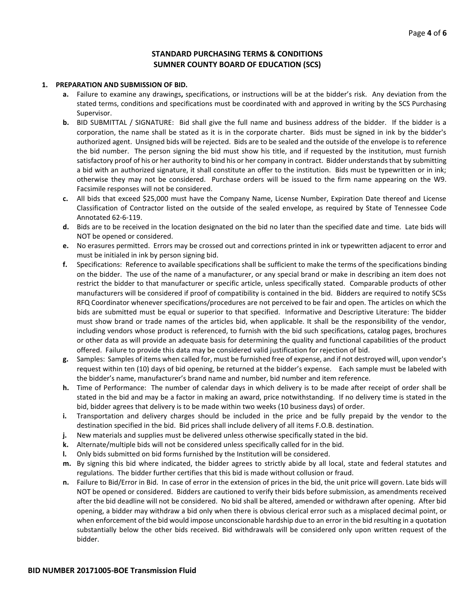### **STANDARD PURCHASING TERMS & CONDITIONS SUMNER COUNTY BOARD OF EDUCATION (SCS)**

#### **1. PREPARATION AND SUBMISSION OF BID.**

- **a.** Failure to examine any drawings**,** specifications, or instructions will be at the bidder's risk. Any deviation from the stated terms, conditions and specifications must be coordinated with and approved in writing by the SCS Purchasing Supervisor.
- **b.** BID SUBMITTAL / SIGNATURE: Bid shall give the full name and business address of the bidder. If the bidder is a corporation, the name shall be stated as it is in the corporate charter. Bids must be signed in ink by the bidder's authorized agent. Unsigned bids will be rejected. Bids are to be sealed and the outside of the envelope is to reference the bid number. The person signing the bid must show his title, and if requested by the institution, must furnish satisfactory proof of his or her authority to bind his or her company in contract. Bidder understands that by submitting a bid with an authorized signature, it shall constitute an offer to the institution. Bids must be typewritten or in ink; otherwise they may not be considered. Purchase orders will be issued to the firm name appearing on the W9. Facsimile responses will not be considered.
- **c.** All bids that exceed \$25,000 must have the Company Name, License Number, Expiration Date thereof and License Classification of Contractor listed on the outside of the sealed envelope, as required by State of Tennessee Code Annotated 62-6-119.
- **d.** Bids are to be received in the location designated on the bid no later than the specified date and time. Late bids will NOT be opened or considered.
- **e.** No erasures permitted. Errors may be crossed out and corrections printed in ink or typewritten adjacent to error and must be initialed in ink by person signing bid.
- **f.** Specifications: Reference to available specifications shall be sufficient to make the terms of the specifications binding on the bidder. The use of the name of a manufacturer, or any special brand or make in describing an item does not restrict the bidder to that manufacturer or specific article, unless specifically stated. Comparable products of other manufacturers will be considered if proof of compatibility is contained in the bid. Bidders are required to notify SCSs RFQ Coordinator whenever specifications/procedures are not perceived to be fair and open. The articles on which the bids are submitted must be equal or superior to that specified. Informative and Descriptive Literature: The bidder must show brand or trade names of the articles bid, when applicable. It shall be the responsibility of the vendor, including vendors whose product is referenced, to furnish with the bid such specifications, catalog pages, brochures or other data as will provide an adequate basis for determining the quality and functional capabilities of the product offered. Failure to provide this data may be considered valid justification for rejection of bid.
- **g.** Samples: Samples of items when called for, must be furnished free of expense, and if not destroyed will, upon vendor's request within ten (10) days of bid opening, be returned at the bidder's expense. Each sample must be labeled with the bidder's name, manufacturer's brand name and number, bid number and item reference.
- **h.** Time of Performance: The number of calendar days in which delivery is to be made after receipt of order shall be stated in the bid and may be a factor in making an award, price notwithstanding. If no delivery time is stated in the bid, bidder agrees that delivery is to be made within two weeks (10 business days) of order.
- **i.** Transportation and delivery charges should be included in the price and be fully prepaid by the vendor to the destination specified in the bid. Bid prices shall include delivery of all items F.O.B. destination.
- **j.** New materials and supplies must be delivered unless otherwise specifically stated in the bid.
- **k.** Alternate/multiple bids will not be considered unless specifically called for in the bid.
- **l.** Only bids submitted on bid forms furnished by the Institution will be considered.
- **m.** By signing this bid where indicated, the bidder agrees to strictly abide by all local, state and federal statutes and regulations. The bidder further certifies that this bid is made without collusion or fraud.
- **n.** Failure to Bid/Error in Bid. In case of error in the extension of prices in the bid, the unit price will govern. Late bids will NOT be opened or considered. Bidders are cautioned to verify their bids before submission, as amendments received after the bid deadline will not be considered. No bid shall be altered, amended or withdrawn after opening. After bid opening, a bidder may withdraw a bid only when there is obvious clerical error such as a misplaced decimal point, or when enforcement of the bid would impose unconscionable hardship due to an error in the bid resulting in a quotation substantially below the other bids received. Bid withdrawals will be considered only upon written request of the bidder.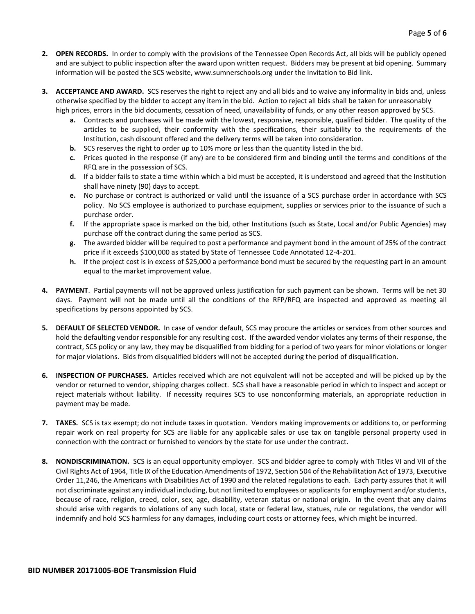- **2. OPEN RECORDS.** In order to comply with the provisions of the Tennessee Open Records Act, all bids will be publicly opened and are subject to public inspection after the award upon written request. Bidders may be present at bid opening. Summary information will be posted the SCS website, www.sumnerschools.org under the Invitation to Bid link.
- **3. ACCEPTANCE AND AWARD.** SCS reserves the right to reject any and all bids and to waive any informality in bids and, unless otherwise specified by the bidder to accept any item in the bid. Action to reject all bids shall be taken for unreasonably high prices, errors in the bid documents, cessation of need, unavailability of funds, or any other reason approved by SCS.
	- **a.** Contracts and purchases will be made with the lowest, responsive, responsible, qualified bidder. The quality of the articles to be supplied, their conformity with the specifications, their suitability to the requirements of the Institution, cash discount offered and the delivery terms will be taken into consideration.
	- **b.** SCS reserves the right to order up to 10% more or less than the quantity listed in the bid.
	- **c.** Prices quoted in the response (if any) are to be considered firm and binding until the terms and conditions of the RFQ are in the possession of SCS.
	- **d.** If a bidder fails to state a time within which a bid must be accepted, it is understood and agreed that the Institution shall have ninety (90) days to accept.
	- **e.** No purchase or contract is authorized or valid until the issuance of a SCS purchase order in accordance with SCS policy. No SCS employee is authorized to purchase equipment, supplies or services prior to the issuance of such a purchase order.
	- **f.** If the appropriate space is marked on the bid, other Institutions (such as State, Local and/or Public Agencies) may purchase off the contract during the same period as SCS.
	- **g.** The awarded bidder will be required to post a performance and payment bond in the amount of 25% of the contract price if it exceeds \$100,000 as stated by State of Tennessee Code Annotated 12-4-201.
	- **h.** If the project cost is in excess of \$25,000 a performance bond must be secured by the requesting part in an amount equal to the market improvement value.
- **4. PAYMENT**. Partial payments will not be approved unless justification for such payment can be shown. Terms will be net 30 days. Payment will not be made until all the conditions of the RFP/RFQ are inspected and approved as meeting all specifications by persons appointed by SCS.
- **5. DEFAULT OF SELECTED VENDOR.** In case of vendor default, SCS may procure the articles or services from other sources and hold the defaulting vendor responsible for any resulting cost. If the awarded vendor violates any terms of their response, the contract, SCS policy or any law, they may be disqualified from bidding for a period of two years for minor violations or longer for major violations. Bids from disqualified bidders will not be accepted during the period of disqualification.
- **6. INSPECTION OF PURCHASES.** Articles received which are not equivalent will not be accepted and will be picked up by the vendor or returned to vendor, shipping charges collect. SCS shall have a reasonable period in which to inspect and accept or reject materials without liability. If necessity requires SCS to use nonconforming materials, an appropriate reduction in payment may be made.
- **7. TAXES.** SCS is tax exempt; do not include taxes in quotation. Vendors making improvements or additions to, or performing repair work on real property for SCS are liable for any applicable sales or use tax on tangible personal property used in connection with the contract or furnished to vendors by the state for use under the contract.
- **8. NONDISCRIMINATION.** SCS is an equal opportunity employer. SCS and bidder agree to comply with Titles VI and VII of the Civil Rights Act of 1964, Title IX of the Education Amendments of 1972, Section 504 of the Rehabilitation Act of 1973, Executive Order 11,246, the Americans with Disabilities Act of 1990 and the related regulations to each. Each party assures that it will not discriminate against any individual including, but not limited to employees or applicants for employment and/or students, because of race, religion, creed, color, sex, age, disability, veteran status or national origin. In the event that any claims should arise with regards to violations of any such local, state or federal law, statues, rule or regulations, the vendor will indemnify and hold SCS harmless for any damages, including court costs or attorney fees, which might be incurred.